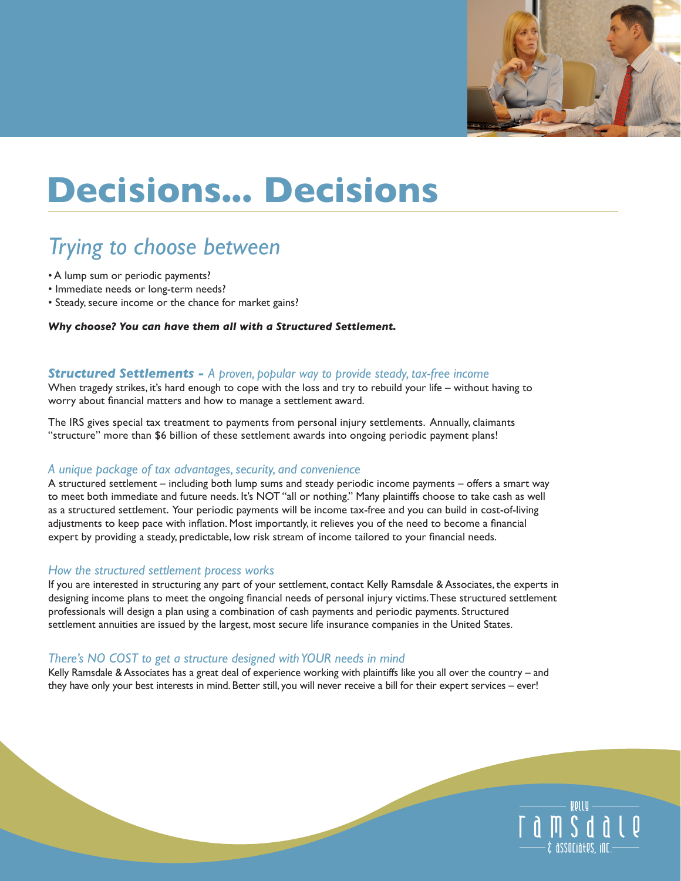

# **Decisions... Decisions**

### *Trying to choose between*

- A lump sum or periodic payments?
- Immediate needs or long-term needs?
- Steady, secure income or the chance for market gains?

#### *Why choose? You can have them all with a Structured Settlement.*

#### *Structured Settlements - A proven, popular way to provide steady, tax-free income*

When tragedy strikes, it's hard enough to cope with the loss and try to rebuild your life – without having to worry about financial matters and how to manage a settlement award.

The IRS gives special tax treatment to payments from personal injury settlements. Annually, claimants "structure" more than \$6 billion of these settlement awards into ongoing periodic payment plans!

#### *A unique package of tax advantages, security, and convenience*

A structured settlement – including both lump sums and steady periodic income payments – offers a smart way to meet both immediate and future needs. It's NOT "all or nothing." Many plaintiffs choose to take cash as well as a structured settlement. Your periodic payments will be income tax-free and you can build in cost-of-living adjustments to keep pace with inflation. Most importantly, it relieves you of the need to become a financial expert by providing a steady, predictable, low risk stream of income tailored to your financial needs.

#### *How the structured settlement process works*

If you are interested in structuring any part of your settlement, contact Kelly Ramsdale & Associates, the experts in designing income plans to meet the ongoing financial needs of personal injury victims. These structured settlement professionals will design a plan using a combination of cash payments and periodic payments. Structured settlement annuities are issued by the largest, most secure life insurance companies in the United States.

#### *There's NO COST to get a structure designed with YOUR needs in mind*

Kelly Ramsdale & Associates has a great deal of experience working with plaintiffs like you all over the country – and they have only your best interests in mind. Better still, you will never receive a bill for their expert services – ever!